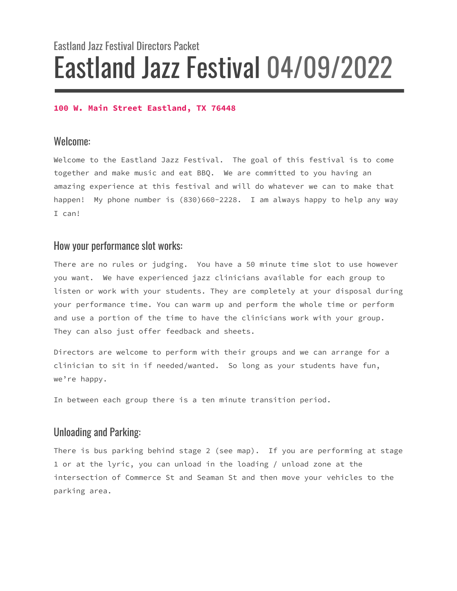# Eastland Jazz Festival Directors Packet Eastland Jazz Festival 04/09/2022

#### **100 W. Main Street Eastland, TX 76448**

#### Welcome:

Welcome to the Eastland Jazz Festival. The goal of this festival is to come together and make music and eat BBQ. We are committed to you having an amazing experience at this festival and will do whatever we can to make that happen! My phone number is (830)660-2228. I am always happy to help any way I can!

#### How your performance slot works:

There are no rules or judging. You have a 50 minute time slot to use however you want. We have experienced jazz clinicians available for each group to listen or work with your students. They are completely at your disposal during your performance time. You can warm up and perform the whole time or perform and use a portion of the time to have the clinicians work with your group. They can also just offer feedback and sheets.

Directors are welcome to perform with their groups and we can arrange for a clinician to sit in if needed/wanted. So long as your students have fun, we're happy.

In between each group there is a ten minute transition period.

#### Unloading and Parking:

There is bus parking behind stage 2 (see map). If you are performing at stage 1 or at the lyric, you can unload in the loading / unload zone at the intersection of Commerce St and Seaman St and then move your vehicles to the parking area.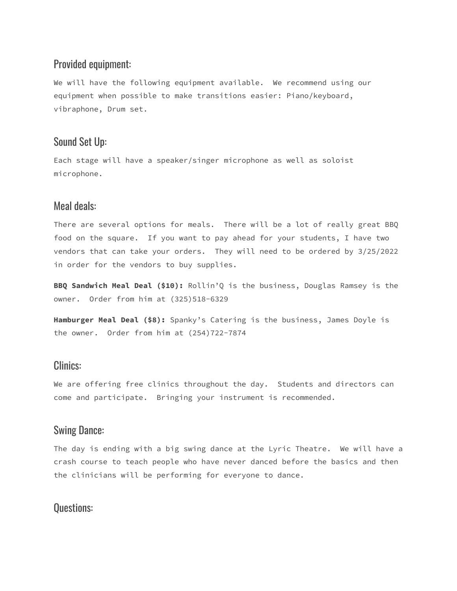#### Provided equipment:

We will have the following equipment available. We recommend using our equipment when possible to make transitions easier: Piano/keyboard, vibraphone, Drum set.

#### Sound Set Up:

Each stage will have a speaker/singer microphone as well as soloist microphone.

### Meal deals:

There are several options for meals. There will be a lot of really great BBQ food on the square. If you want to pay ahead for your students, I have two vendors that can take your orders. They will need to be ordered by 3/25/2022 in order for the vendors to buy supplies.

**BBQ Sandwich Meal Deal (\$10):** Rollin'Q is the business, Douglas Ramsey is the owner. Order from him at (325)518-6329

**Hamburger Meal Deal (\$8):** Spanky's Catering is the business, James Doyle is the owner. Order from him at (254)722-7874

#### Clinics:

We are offering free clinics throughout the day. Students and directors can come and participate. Bringing your instrument is recommended.

#### Swing Dance:

The day is ending with a big swing dance at the Lyric Theatre. We will have a crash course to teach people who have never danced before the basics and then the clinicians will be performing for everyone to dance.

### Questions: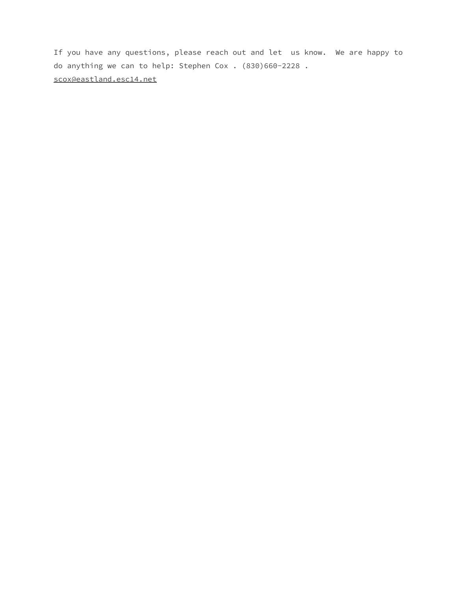If you have any questions, please reach out and let us know. We are happy to do anything we can to help: Stephen Cox . (830)660-2228 . scox@eastland.esc14.net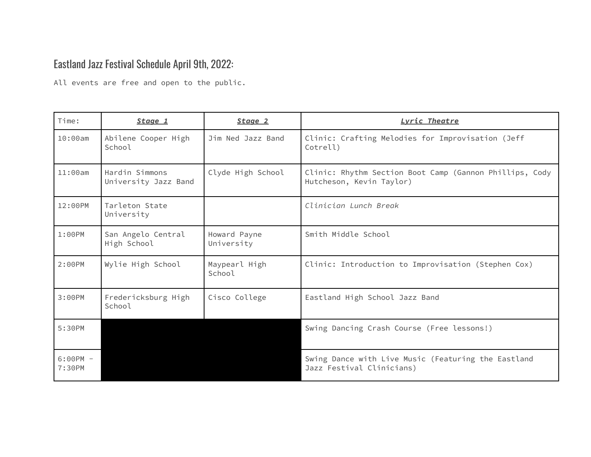## Eastland Jazz Festival Schedule April 9th, 2022:

All events are free and open to the public.

| Time:                | Stage 1                                | Stage 2                    | Lyric Theatre                                                                       |
|----------------------|----------------------------------------|----------------------------|-------------------------------------------------------------------------------------|
| 10:00am              | Abilene Cooper High<br>School          | Jim Ned Jazz Band          | Clinic: Crafting Melodies for Improvisation (Jeff<br>Cotrell)                       |
| 11:00am              | Hardin Simmons<br>University Jazz Band | Clyde High School          | Clinic: Rhythm Section Boot Camp (Gannon Phillips, Cody<br>Hutcheson, Kevin Taylor) |
| 12:00PM              | Tarleton State<br>University           |                            | Clinician Lunch Break                                                               |
| $1:00$ PM            | San Angelo Central<br>High School      | Howard Payne<br>University | Smith Middle School                                                                 |
| 2:00PM               | Wylie High School                      | Maypearl High<br>School    | Clinic: Introduction to Improvisation (Stephen Cox)                                 |
| 3:00PM               | Fredericksburg High<br>School          | Cisco College              | Eastland High School Jazz Band                                                      |
| 5:30PM               |                                        |                            | Swing Dancing Crash Course (Free lessons!)                                          |
| $6:00PM -$<br>7:30PM |                                        |                            | Swing Dance with Live Music (Featuring the Eastland<br>Jazz Festival Clinicians)    |